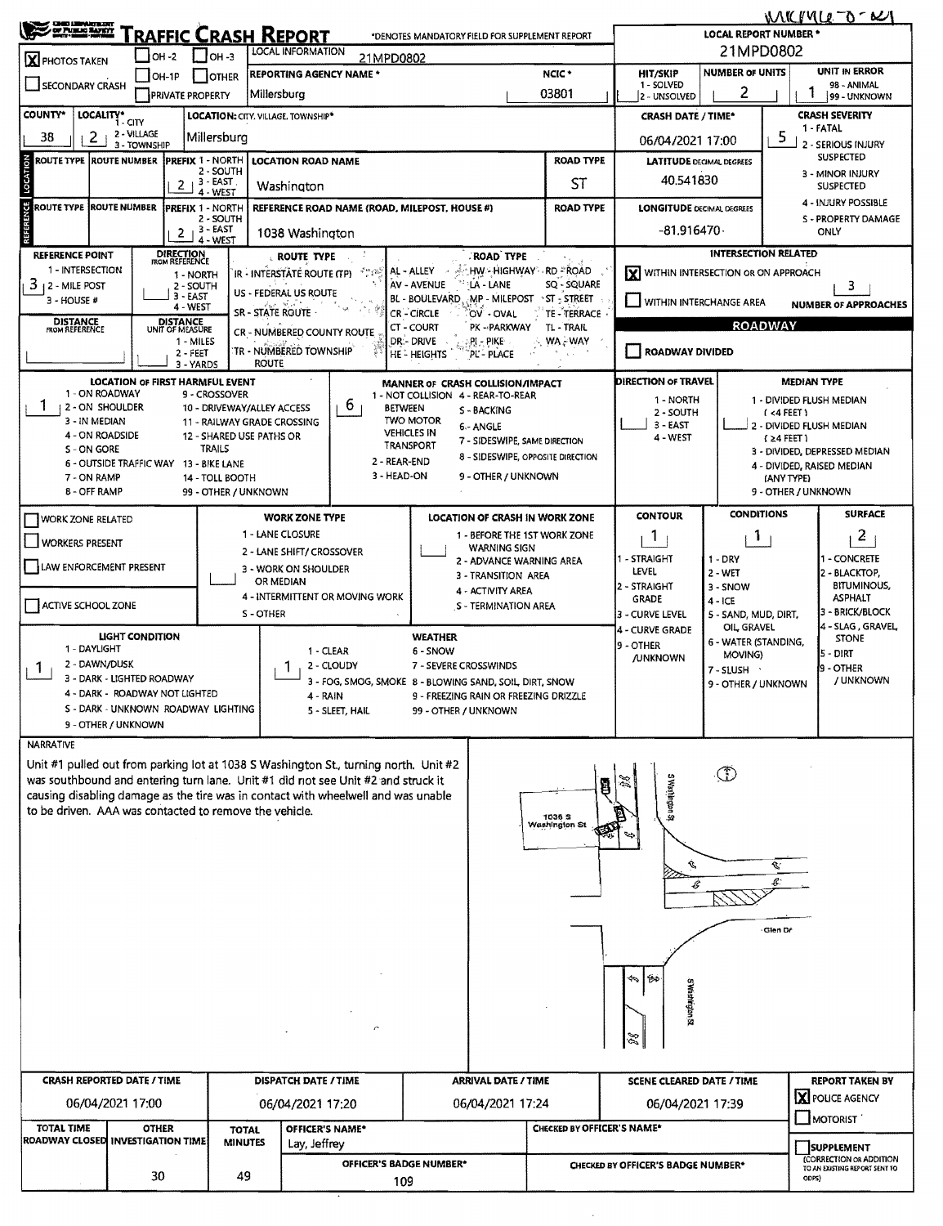| <b>CHE LEMANS ANT</b>                                                                                        |                                        |                                     |                                           |                                                           |                                                                                      |                                                                                                  |                                       |                                                        |                                    |                                                | $MUVU - 0 - 1$                                              |  |  |  |
|--------------------------------------------------------------------------------------------------------------|----------------------------------------|-------------------------------------|-------------------------------------------|-----------------------------------------------------------|--------------------------------------------------------------------------------------|--------------------------------------------------------------------------------------------------|---------------------------------------|--------------------------------------------------------|------------------------------------|------------------------------------------------|-------------------------------------------------------------|--|--|--|
|                                                                                                              |                                        | <u> Traffic Crash Report</u>        |                                           | <b>LOCAL REPORT NUMBER *</b><br>21MPD0802                 |                                                                                      |                                                                                                  |                                       |                                                        |                                    |                                                |                                                             |  |  |  |
| <b>X</b> PHOTOS TAKEN                                                                                        |                                        | $IOH - 2$                           | OH -3                                     | LOCAL INFORMATION                                         | 21MPD0802                                                                            |                                                                                                  | NCIC <sup>+</sup>                     |                                                        | <b>NUMBER OF UNITS</b>             |                                                | UNIT IN ERROR                                               |  |  |  |
| SECONDARY CRASH                                                                                              |                                        | $IOH-1P$<br><b>PRIVATE PROPERTY</b> | <b>OTHER</b>                              | Millersburg                                               | <b>REPORTING AGENCY NAME *</b>                                                       |                                                                                                  | 03801                                 | <b>HIT/SKIP</b><br>1 - SOLVED<br>2 - UNSOLVED          | 98 - ANIMAL<br>2<br>99 - UNKNOWN   |                                                |                                                             |  |  |  |
| <b>COUNTY*</b>                                                                                               | LOCALITY* CITY                         |                                     |                                           | LOCATION: CITY, VILLAGE, TOWNSHIP*                        |                                                                                      |                                                                                                  |                                       | <b>CRASH DATE / TIME*</b>                              |                                    |                                                | <b>CRASH SEVERITY</b>                                       |  |  |  |
| 2<br>38                                                                                                      | 2 - VILLAGE<br>3 - TOWNSHIP            |                                     | Millersburg                               |                                                           |                                                                                      |                                                                                                  |                                       | 06/04/2021 17:00                                       |                                    | 5                                              | 1 - FATAL<br>2 - SERIOUS INJURY                             |  |  |  |
| <b>ROUTE TYPE ROUTE NUMBER</b>                                                                               |                                        | <b>PREFIX 1 - NORTH</b>             | 2 - SOUTH                                 | <b>LOCATION ROAD NAME</b>                                 |                                                                                      |                                                                                                  | <b>ROAD TYPE</b>                      | <b>LATITUDE DECIMAL DEGREES</b>                        |                                    | <b>SUSPECTED</b><br>3 - MINOR INJURY           |                                                             |  |  |  |
|                                                                                                              |                                        | $2 + 3 - EAST$                      | 4 - WEST                                  | Washington                                                |                                                                                      |                                                                                                  | <b>ST</b>                             | 40.541830                                              |                                    |                                                | <b>SUSPECTED</b>                                            |  |  |  |
| ROUTE TYPE ROUTE NUMBER                                                                                      |                                        | PREFIX 1 - NORTH                    |                                           |                                                           | REFERENCE ROAD NAME (ROAD, MILEPOST, HOUSE #)                                        |                                                                                                  | <b>ROAD TYPE</b>                      | <b>LONGITUDE DECIMAL DEGREES</b>                       |                                    |                                                | 4 - INJURY POSSIBLE                                         |  |  |  |
| REFERENCE COCATION                                                                                           |                                        | 2                                   | 2 - SOUTH<br>3 - EAST<br>4 - WEST         | 1038 Washington                                           |                                                                                      |                                                                                                  |                                       | $-81.916470 \cdot$                                     |                                    |                                                | <b>S - PROPERTY DAMAGE</b><br>ONLY                          |  |  |  |
| REFERENCE POINT                                                                                              |                                        | <b>DIRECTION</b><br>FROM REFERENCE  |                                           | ROUTE TYPE                                                |                                                                                      | <b>ROAD TYPE</b>                                                                                 |                                       |                                                        | <b>INTERSECTION RELATED</b>        |                                                |                                                             |  |  |  |
| 1 - INTERSECTION<br>$3 + 2 -$ MILE POST                                                                      |                                        | 1 - NORTH<br>2 - SOUTH              |                                           | IR - INTERSTATE ROUTE (TP)                                | $\mathcal{L} = \{0\}$                                                                | A HW - HIGHWAY - RD - ROAD<br>AL - ALLEY<br>AV - AVENUE<br><b>LA - LANE</b>                      | SQ - SQUARE                           | X WITHIN INTERSECTION OR ON APPROACH                   |                                    |                                                | з                                                           |  |  |  |
| $3 - EAST$<br>3 - HOUSE #<br>4 - WEST                                                                        |                                        |                                     |                                           | US - FEDERAL US ROUTE<br>SR - STATE ROUTE                 |                                                                                      | BL - BOULEVARD  MP - MILEPOST                                                                    | $\cdot$ ST $_5$ STREET                | WITHIN INTERCHANGE AREA<br><b>NUMBER OF APPROACHES</b> |                                    |                                                |                                                             |  |  |  |
| <b>DISTANCE</b><br><b>FROM REFERENCE</b>                                                                     |                                        | <b>DISTANCE</b><br>UNIT OF MEASURE  |                                           |                                                           | CR - NUMBERED COUNTY ROUTE                                                           | CR-CIRCLE<br>OV - OVAL<br>CT - COURT<br>PK - PARKWAY                                             | <b>TE-TERRACE</b><br>TL - TRAIL       |                                                        |                                    | <b>ROADWAY</b>                                 |                                                             |  |  |  |
| 1 - MILES<br>2 - FEET                                                                                        |                                        |                                     |                                           | TR - NUMBERED TOWNSHIP                                    |                                                                                      | DR-DRIVE<br>api - Pike<br>HE - HEIGHTS<br>"PL' – PLACE                                           | <b>ROADWAY DIVIDED</b>                |                                                        |                                    |                                                |                                                             |  |  |  |
| 3 - YARDS<br>LOCATION OF FIRST HARMFUL EVENT                                                                 |                                        |                                     |                                           | <b>ROUTE</b>                                              |                                                                                      |                                                                                                  |                                       |                                                        |                                    |                                                |                                                             |  |  |  |
| 1 - ON ROADWAY                                                                                               |                                        |                                     | 9 - CROSSOVER                             |                                                           |                                                                                      | MANNER OF CRASH COLLISION/IMPACT<br>1 - NOT COLLISION 4 - REAR-TO-REAR                           |                                       | DIRECTION OF TRAVEL<br>1 - NORTH                       |                                    | <b>MEDIAN TYPE</b><br>1 - DIVIDED FLUSH MEDIAN |                                                             |  |  |  |
| 1.<br><b>12-ON SHOULDER</b><br>3 - IN MEDIAN                                                                 |                                        |                                     |                                           | 10 - DRIVEWAY/ALLEY ACCESS<br>11 - RAILWAY GRADE CROSSING | 6<br><b>BETWEEN</b>                                                                  | S - BACKING<br><b>TWO MOTOR</b><br>6 - ANGLE                                                     |                                       | 2 - SOUTH<br>$3 - EAST$                                |                                    | (4FET)                                         |                                                             |  |  |  |
| 4 - ON ROADSIDE<br>S - ON GORE                                                                               |                                        |                                     | 12 - SHARED USE PATHS OR<br><b>TRAILS</b> |                                                           |                                                                                      | <b>VEHICLES IN</b><br>7 - SIDESWIPE, SAME DIRECTION<br>TRANSPORT                                 |                                       | J 2 - DIVIDED FLUSH MEDIAN<br>4 - WEST<br>$(24$ FEET)  |                                    |                                                |                                                             |  |  |  |
|                                                                                                              | 6 - OUTSIDE TRAFFIC WAY 13 - BIKE LANE |                                     |                                           |                                                           | 2 - REAR-END                                                                         | 8 - SIDESWIPE, OPPOSITE DIRECTION                                                                |                                       |                                                        |                                    |                                                | 3 - DIVIDED, DEPRESSED MEDIAN<br>4 - DIVIDED, RAISED MEDIAN |  |  |  |
| 3 - HEAD-ON<br>9 - OTHER / UNKNOWN<br>7 - ON RAMP<br>14 - TOLL BOOTH<br>8 - OFF RAMP<br>99 - OTHER / UNKNOWN |                                        |                                     |                                           |                                                           |                                                                                      |                                                                                                  |                                       | (ANY TYPE)<br>9 - OTHER / UNKNOWN                      |                                    |                                                |                                                             |  |  |  |
| <b>WORK ZONE RELATED</b>                                                                                     |                                        |                                     |                                           | <b>WORK ZONE TYPE</b>                                     |                                                                                      | <b>LOCATION OF CRASH IN WORK ZONE</b>                                                            |                                       | <b>SURFACE</b><br><b>CONDITIONS</b><br><b>CONTOUR</b>  |                                    |                                                |                                                             |  |  |  |
|                                                                                                              |                                        |                                     |                                           | 1 - LANE CLOSURE                                          |                                                                                      | 1 - BEFORE THE 1ST WORK ZONE                                                                     |                                       | $\mathbf{1}$                                           | 1                                  |                                                | $\mathbf{2}$                                                |  |  |  |
| <b>WORKERS PRESENT</b>                                                                                       |                                        |                                     |                                           | 2 - LANE SHIFT/ CROSSOVER                                 |                                                                                      | <b>WARNING SIGN</b><br>2 - ADVANCE WARNING AREA                                                  |                                       | 1 - STRAIGHT<br>1 - DRY                                |                                    |                                                | - CONCRETE                                                  |  |  |  |
| LAW ENFORCEMENT PRESENT                                                                                      |                                        |                                     |                                           | 3 - WORK ON SHOULDER<br>OR MEDIAN                         |                                                                                      | 3 - TRANSITION AREA                                                                              |                                       | LEVEL<br>$2 - WET$<br>2 - STRAIGHT<br>3 - SNOW         |                                    |                                                | 2 - BLACKTOP,<br><b>BITUMINOUS,</b>                         |  |  |  |
| ACTIVE SCHOOL ZONE                                                                                           |                                        |                                     |                                           |                                                           | 4 - INTERMITTENT OR MOVING WORK                                                      | 4 - ACTIVITY AREA<br>S - TERMINATION AREA                                                        |                                       | <b>GRADE</b><br>$4 - ICE$                              |                                    |                                                | <b>ASPHALT</b>                                              |  |  |  |
|                                                                                                              |                                        |                                     |                                           | S-OTHER                                                   |                                                                                      |                                                                                                  |                                       | 3 - CURVE LEVEL<br>4 - CURVE GRADE                     | 5 - SAND, MUD, DIRT,<br>OIL GRAVEL |                                                | 3 - BRICK/BLOCK<br>4 - SLAG , GRAVEL                        |  |  |  |
| 1 - DAYLIGHT                                                                                                 | <b>LIGHT CONDITION</b>                 |                                     |                                           |                                                           | 1 - CLEAR                                                                            | <b>WEATHER</b><br>6 - SNOW                                                                       |                                       | 9 - OTHER                                              | <b>STONE</b><br>5 - DIRT           |                                                |                                                             |  |  |  |
| 2 - DAWN/DUSK<br>Ŧ                                                                                           | 3 - DARK - LIGHTED ROADWAY             |                                     |                                           |                                                           | 2 - CLOUDY                                                                           | 7 - SEVERE CROSSWINDS                                                                            |                                       | <b>/UNKNOWN</b>                                        | MOVING)<br>7-SLUSH                 |                                                | 9 - OTHER                                                   |  |  |  |
|                                                                                                              | 4 - DARK - ROADWAY NOT LIGHTED         |                                     |                                           |                                                           | 4 - RAIN                                                                             | 3 - FOG, SMOG, SMOKE 8 - BLOWING SAND, SOIL, DIRT, SNOW<br>9 - FREEZING RAIN OR FREEZING DRIZZLE |                                       |                                                        | 9 - OTHER / UNKNOWN                |                                                | / UNKNOWN                                                   |  |  |  |
|                                                                                                              | S - DARK - UNKNOWN ROADWAY LIGHTING    |                                     |                                           |                                                           | 5 - SLEET, HAIL                                                                      | 99 - OTHER / UNKNOWN                                                                             |                                       |                                                        |                                    |                                                |                                                             |  |  |  |
| <b>NARRATIVE</b>                                                                                             | 9 - OTHER / UNKNOWN                    |                                     |                                           |                                                           |                                                                                      |                                                                                                  |                                       |                                                        |                                    |                                                |                                                             |  |  |  |
|                                                                                                              |                                        |                                     |                                           |                                                           | Unit #1 pulled out from parking lot at 1038 S Washington St., turning north. Unit #2 |                                                                                                  |                                       |                                                        |                                    |                                                |                                                             |  |  |  |
|                                                                                                              |                                        |                                     |                                           |                                                           | was southbound and entering turn lane. Unit #1 did not see Unit #2 and struck it     |                                                                                                  |                                       |                                                        | $\circledcirc$                     |                                                |                                                             |  |  |  |
| to be driven. AAA was contacted to remove the vehicle.                                                       |                                        |                                     |                                           |                                                           | causing disabling damage as the tire was in contact with wheelwell and was unable    |                                                                                                  |                                       | S napainswr S                                          |                                    |                                                |                                                             |  |  |  |
|                                                                                                              |                                        |                                     |                                           |                                                           |                                                                                      |                                                                                                  | <b>1038 S</b><br><b>Washington St</b> |                                                        |                                    |                                                |                                                             |  |  |  |
|                                                                                                              |                                        |                                     |                                           |                                                           |                                                                                      |                                                                                                  |                                       |                                                        |                                    |                                                |                                                             |  |  |  |
|                                                                                                              |                                        |                                     |                                           |                                                           |                                                                                      |                                                                                                  |                                       | s,<br>B                                                |                                    |                                                |                                                             |  |  |  |
|                                                                                                              |                                        |                                     |                                           |                                                           |                                                                                      |                                                                                                  |                                       |                                                        |                                    |                                                |                                                             |  |  |  |
|                                                                                                              |                                        |                                     |                                           |                                                           |                                                                                      |                                                                                                  |                                       |                                                        |                                    |                                                |                                                             |  |  |  |
|                                                                                                              |                                        |                                     |                                           |                                                           |                                                                                      |                                                                                                  |                                       |                                                        |                                    | Glen Dr                                        |                                                             |  |  |  |
|                                                                                                              |                                        |                                     |                                           |                                                           |                                                                                      |                                                                                                  |                                       |                                                        |                                    |                                                |                                                             |  |  |  |
|                                                                                                              |                                        |                                     |                                           |                                                           |                                                                                      |                                                                                                  |                                       | 47   130                                               |                                    |                                                |                                                             |  |  |  |
|                                                                                                              |                                        |                                     |                                           |                                                           |                                                                                      |                                                                                                  |                                       | S washington St                                        |                                    |                                                |                                                             |  |  |  |
|                                                                                                              |                                        |                                     |                                           |                                                           |                                                                                      |                                                                                                  |                                       | Z                                                      |                                    |                                                |                                                             |  |  |  |
|                                                                                                              |                                        |                                     |                                           |                                                           |                                                                                      |                                                                                                  |                                       |                                                        |                                    |                                                |                                                             |  |  |  |
| <b>CRASH REPORTED DATE / TIME</b>                                                                            |                                        |                                     |                                           | <b>DISPATCH DATE / TIME</b>                               |                                                                                      |                                                                                                  | <b>ARRIVAL DATE / TIME</b>            |                                                        |                                    |                                                | <b>REPORT TAKEN BY</b>                                      |  |  |  |
|                                                                                                              | 06/04/2021 17:00                       |                                     |                                           | 06/04/2021 17:20                                          |                                                                                      | 06/04/2021 17:24                                                                                 |                                       | 06/04/2021 17:39                                       |                                    |                                                | X POLICE AGENCY<br>MOTORIST                                 |  |  |  |
| <b>TOTAL TIME</b>                                                                                            |                                        | <b>OTHER</b>                        | <b>TOTAL</b>                              |                                                           | OFFICER'S NAME*                                                                      |                                                                                                  | CHECKED BY OFFICER'S NAME*            |                                                        |                                    |                                                |                                                             |  |  |  |
| ROADWAY CLOSED INVESTIGATION TIME                                                                            |                                        |                                     | <b>MINUTES</b>                            |                                                           | Lay, Jeffrey                                                                         |                                                                                                  |                                       |                                                        |                                    |                                                | <b>SUPPLEMENT</b><br>(CORRECTION OR ADDITION                |  |  |  |
|                                                                                                              |                                        | 30                                  | 49                                        |                                                           | OFFICER'S BADGE NUMBER*                                                              |                                                                                                  |                                       | CHECKED BY OFFICER'S BADGE NUMBER*                     |                                    | ODPS)                                          | TO AN EXISTING REPORT SENT TO                               |  |  |  |
|                                                                                                              | 109                                    |                                     |                                           |                                                           |                                                                                      |                                                                                                  |                                       |                                                        |                                    |                                                |                                                             |  |  |  |

 $\sim$   $\sim$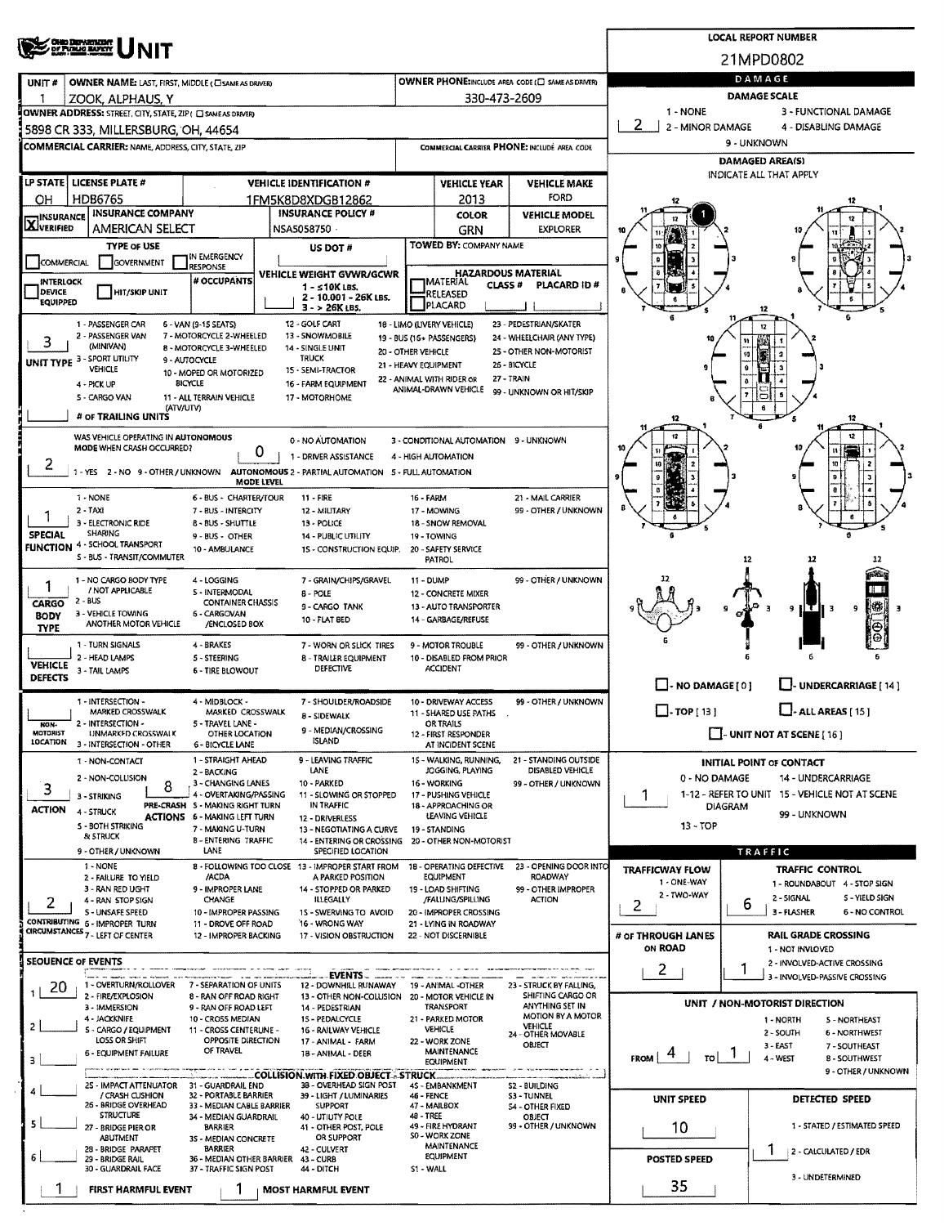|                                       |                                                                                              |                                                          |                       |                                                                                |                                                                                    |                                                   |                                                   |                                                                                       | <b>LOCAL REPORT NUMBER</b>                                    |  |  |  |  |
|---------------------------------------|----------------------------------------------------------------------------------------------|----------------------------------------------------------|-----------------------|--------------------------------------------------------------------------------|------------------------------------------------------------------------------------|---------------------------------------------------|---------------------------------------------------|---------------------------------------------------------------------------------------|---------------------------------------------------------------|--|--|--|--|
|                                       | OHO DEFARTADAT<br>OF FUNLIO BAPETY<br><b>NIT</b>                                             |                                                          |                       |                                                                                |                                                                                    |                                                   |                                                   |                                                                                       | 21MPD0802                                                     |  |  |  |  |
| UNIT#                                 | <b>OWNER NAME: LAST, FIRST, MIDDLE (CISAME AS DRIVER)</b>                                    |                                                          |                       |                                                                                |                                                                                    |                                                   | OWNER PHONE:INCLUDE AREA CODE (C) SAME AS DRIVER) |                                                                                       | DAMAGE                                                        |  |  |  |  |
|                                       | ZOOK, ALPHAUS, Y                                                                             |                                                          |                       |                                                                                |                                                                                    | 330-473-2609                                      |                                                   |                                                                                       | <b>DAMAGE SCALE</b>                                           |  |  |  |  |
|                                       | OWNER ADDRESS: STREET, CITY, STATE, ZIP ( C) SAME AS DRIVER)                                 |                                                          |                       |                                                                                |                                                                                    |                                                   |                                                   | 1 - NONE<br>2<br>2 - MINOR DAMAGE                                                     | 3 - FUNCTIONAL DAMAGE<br>4 - DISABLING DAMAGE                 |  |  |  |  |
|                                       | 5898 CR 333, MILLERSBURG, OH, 44654<br>COMMERCIAL CARRIER: NAME, ADDRESS, CITY, STATE, ZIP   |                                                          |                       |                                                                                |                                                                                    |                                                   | COMMERCIAL CARRIER PHONE: INCLUDE AREA CODE       |                                                                                       | 9 - UNKNOWN                                                   |  |  |  |  |
|                                       |                                                                                              |                                                          |                       |                                                                                |                                                                                    |                                                   |                                                   |                                                                                       | <b>DAMAGED AREA(S)</b>                                        |  |  |  |  |
|                                       | LP STATE   LICENSE PLATE #                                                                   |                                                          |                       | <b>VEHICLE IDENTIFICATION #</b>                                                |                                                                                    | <b>VEHICLE YEAR</b>                               | <b>VEHICLE MAKE</b>                               |                                                                                       | INDICATE ALL THAT APPLY                                       |  |  |  |  |
| OН                                    | HDB6765                                                                                      |                                                          |                       | 1FM5K8D8XDGB12862                                                              |                                                                                    | 2013                                              | FORD                                              |                                                                                       |                                                               |  |  |  |  |
| <b>INSURANCE</b><br><b>AJVERIFIED</b> | <b>INSURANCE COMPANY</b>                                                                     |                                                          |                       | <b>INSURANCE POLICY #</b>                                                      |                                                                                    | <b>COLOR</b>                                      | <b>VEHICLE MODEL</b>                              | 12                                                                                    |                                                               |  |  |  |  |
|                                       | AMERICAN SELECT<br><b>TYPE OF USE</b>                                                        |                                                          |                       | NSA5058750<br>US DOT #                                                         |                                                                                    | GRN<br>TOWED BY: COMPANY NAME                     | <b>EXPLORER</b>                                   |                                                                                       |                                                               |  |  |  |  |
| COMMERCIAL                            | GOVERNMENT                                                                                   | IN EMERGENCY<br>RESPONSE                                 |                       |                                                                                |                                                                                    |                                                   |                                                   |                                                                                       |                                                               |  |  |  |  |
| <b>INTERLOCK</b>                      |                                                                                              | # OCCUPANTS                                              |                       | VEHICLE WEIGHT GVWR/GCWR<br>$1 - 510K$ LBS.                                    |                                                                                    | <b>IMATERIAL</b><br><b>CLASS#</b>                 | <b>HAZARDOUS MATERIAL</b><br>PLACARD ID#          |                                                                                       |                                                               |  |  |  |  |
| <b>DEVICE</b><br><b>EQUIPPED</b>      | HIT/SKIP UNIT                                                                                |                                                          |                       | 2 - 10.001 - 26K LBS.<br>3 - > 26K LBS.                                        |                                                                                    | RELEASED<br><b>PLACARD</b>                        |                                                   |                                                                                       | 12                                                            |  |  |  |  |
|                                       | 1 - PASSENGER CAR                                                                            | 6 - VAN (9-15 SEATS)                                     |                       | 12 - GOLF CART                                                                 |                                                                                    | 18 - LIMO (LIVERY VEHICLE)                        | 23 - PEDESTRIAN/SKATER                            |                                                                                       |                                                               |  |  |  |  |
| 3                                     | 2 - PASSENGER VAN<br>(MINIVAN)                                                               | 7 - MOTORCYCLE 2-WHEELED<br>8 - MOTORCYCLE 3-WHEELED     |                       | 13 - SNOWMOBILE<br>14 - SINGLE UNIT                                            |                                                                                    | 19 - BUS (16+ PASSENGERS)                         | 24 - WHEELCHAIR (ANY TYPE)                        |                                                                                       |                                                               |  |  |  |  |
|                                       | <b>TRUCK</b><br>UNIT TYPE 3 - SPORT UTILITY<br>9 - AUTOCYCLE<br>VEHICLE<br>15 - SEMI-TRACTOR |                                                          |                       |                                                                                | 20 - OTHER VEHICLE                                                                 | 21 - HEAVY EQUIPMENT                              | 25 - OTHER NON-MOTORIST<br>26 - BICYCLE           |                                                                                       | 12<br>$\bullet$                                               |  |  |  |  |
|                                       | 4 - PICK UP                                                                                  | 10 - MOPED OR MOTORIZED<br><b>BICYCLE</b>                |                       | 16 - FARM EQUIPMENT                                                            |                                                                                    | 22 - ANIMAL WITH RIDER OR<br>ANIMAL-DRAWN VEHICLE | 27 - TRAIN                                        |                                                                                       |                                                               |  |  |  |  |
|                                       | 5 - CARGO VAN<br>(ATV/UTV)                                                                   | <b>11 - ALL TERRAIN VEHICLE</b>                          |                       | 17 - MOTORHOME                                                                 |                                                                                    |                                                   | 99 - UNKNOWN OR HIT/SKIP                          |                                                                                       |                                                               |  |  |  |  |
|                                       | # OF TRAILING UNITS                                                                          |                                                          |                       |                                                                                |                                                                                    |                                                   |                                                   | 12                                                                                    | 12                                                            |  |  |  |  |
|                                       | WAS VEHICLE OPERATING IN AUTONOMOUS<br>MODE WHEN CRASH OCCURRED?                             |                                                          |                       | 0 - NO AUTOMATION                                                              |                                                                                    | 3 - CONDITIONAL AUTOMATION 9 - UNKNOWN            |                                                   |                                                                                       |                                                               |  |  |  |  |
| z                                     |                                                                                              | 0                                                        | 1 - DRIVER ASSISTANCE |                                                                                | 4 - HIGH AUTOMATION                                                                |                                                   |                                                   | 10                                                                                    |                                                               |  |  |  |  |
|                                       | 1 - YES 2 - NO 9 - OTHER / UNKNOWN                                                           |                                                          | MODE LEVEL            | AUTONOMOUS 2 - PARTIAL AUTOMATION 5 - FULL AUTOMATION                          |                                                                                    |                                                   |                                                   |                                                                                       | Đ<br>$\theta$                                                 |  |  |  |  |
|                                       | 1 - NONE<br>$2 - TAXI$                                                                       | 6 - BUS - CHARTER/TOUR<br>7 - BUS - INTERCITY            |                       | 11 - FIRE<br>12 MIUTARY                                                        | 16 - FARM                                                                          | 17 - MOWING                                       | 21 - MAIL CARRIER<br>99 - OTHER / UNKNOWN         |                                                                                       |                                                               |  |  |  |  |
|                                       | 3 - ELECTRONIC RIDE                                                                          | 8 - BUS - SHUTTLE                                        |                       | 13 - POLICE                                                                    |                                                                                    | <b>18 - SNOW REMOVAL</b>                          |                                                   |                                                                                       |                                                               |  |  |  |  |
| SPECIAL                               | SHARING<br><b>FUNCTION 4 - SCHOOL TRANSPORT</b>                                              | 9 - BUS - OTHER<br>10 - AMBULANCE                        |                       | 14 - PUBLIC UTILITY<br>15 - CONSTRUCTION EQUIP.                                |                                                                                    | 19 - TOWING<br>20 - SAFETY SERVICE                |                                                   |                                                                                       |                                                               |  |  |  |  |
|                                       | S - BUS - TRANSIT/COMMUTER                                                                   |                                                          |                       |                                                                                |                                                                                    | PATROL                                            |                                                   |                                                                                       | 12                                                            |  |  |  |  |
| 1                                     | 1 - NO CARGO BODY TYPE<br>/ NOT APPLICABLE                                                   | 4 - LOGGING                                              |                       | 7 - GRAIN/CHIPS/GRAVEL                                                         | 11 - DUMP                                                                          |                                                   | 99 - OTHER / UNKNOWN                              |                                                                                       | TE B                                                          |  |  |  |  |
| <b>CARGO</b>                          | 2 - BUS                                                                                      | 5 - INTERMODAL<br><b>CONTAINER CHASSIS</b>               |                       | 8 - POLE<br>9 - CARGO TANK                                                     |                                                                                    | 12 - CONCRETE MIXER<br>13 - AUTO TRANSPORTER      |                                                   |                                                                                       | 163<br>9<br>9<br>l 3                                          |  |  |  |  |
| <b>BODY</b><br><b>TYPE</b>            | 3 - VEHICLE TOWING<br>ANOTHER MOTOR VEHICLE                                                  | 6 - CARGOVAN<br>/ENCLOSED BOX                            |                       | 10 - FLAT BED                                                                  |                                                                                    | 14 - GARBAGE/REFUSE                               |                                                   |                                                                                       |                                                               |  |  |  |  |
|                                       | 1 - TURN SIGNALS                                                                             | 4 - BRAKES                                               |                       | 7 - WORN OR SLICK TIRES                                                        |                                                                                    | 9 - MOTOR TROUBLE                                 | 99 - OTHER / UNKNOWN                              |                                                                                       |                                                               |  |  |  |  |
| <b>VEHICLE</b>                        | 2 - HEAD LAMPS<br>3 - TAIL LAMPS                                                             | 5 - STEERING<br><b>6 - TIRE BLOWOUT</b>                  |                       | <b>8 - TRAILER EQUIPMENT</b><br><b>DEFECTIVE</b>                               |                                                                                    | 10 - DISABLED FROM PRIOR<br><b>ACCIDENT</b>       |                                                   |                                                                                       |                                                               |  |  |  |  |
| <b>DEFECTS</b>                        |                                                                                              |                                                          |                       |                                                                                |                                                                                    |                                                   |                                                   | $\Box$ - NO DAMAGE [ 0 ]                                                              | L.I. UNDERCARRIAGE [ 14 ]                                     |  |  |  |  |
|                                       | 1 - INTERSECTION -<br><b>MARKED CROSSWALK</b>                                                | 4 - MIDBLOCK -<br>MARKED CROSSWALK                       |                       | 7 - SHOULDER/ROADSIDE                                                          | 99 - OTHER / UNKNOWN<br>10 - DRIVEWAY ACCESS<br>11 - SHARED USE PATHS              |                                                   |                                                   | $\Box$ -TOP[13]                                                                       | $\Box$ - ALL AREAS [ 15 ]                                     |  |  |  |  |
| NON-<br><b>MOTORIST</b>               | 2 - INTERSECTION -<br>UNMARKED CROSSWALK                                                     | 5 - TRAVEL LANE -<br>OTHER LOCATION                      |                       | 8 - SIDEWALK<br>9 - MEDIAN/CROSSING                                            | <b>OR TRAILS</b><br>12 - FIRST RESPONDER                                           |                                                   |                                                   |                                                                                       | $\Box$ - UNIT NOT AT SCENE (16)                               |  |  |  |  |
| LOCATION                              | 3 - INTERSECTION - OTHER                                                                     | 6 - BICYCLE LANE                                         |                       | <b>ISLAND</b>                                                                  |                                                                                    | AT INCIDENT SCENE                                 |                                                   |                                                                                       |                                                               |  |  |  |  |
|                                       | 1 - NON-CONTACT                                                                              | 1 - STRAIGHT AHEAD<br>2 - BACKING                        |                       | 9 - LEAVING TRAFFIC<br>LANE                                                    |                                                                                    | 15 - WALKING, RUNNING,<br>JOGGING, PLAYING        | 21 - STANDING OUTSIDE<br>DISABLED VEHICLE         |                                                                                       | INITIAL POINT OF CONTACT                                      |  |  |  |  |
| 3                                     | 2 - NON-COLLISION<br>8                                                                       | 3 - CHANGING LANES<br>4 - OVERTAKING/PASSING             |                       | 10 - PARKED<br>11 - SLOWING OR STOPPED                                         |                                                                                    | 16 - WORKING<br>17 - PUSHING VEHICLE              | 99 - OTHER / UNKNOWN                              | 0 - NO DAMAGE<br>14 - UNDERCARRIAGE<br>1-12 - REFER TO UNIT 15 - VEHICLE NOT AT SCENE |                                                               |  |  |  |  |
| <b>ACTION</b>                         | 3 - STRIKING<br>4 - STRUCK                                                                   | PRE-CRASH S - MAKING RIGHT TURN                          |                       | IN TRAFFIC                                                                     |                                                                                    | 18 - APPROACHING OR<br>LEAVING VEHICLE            |                                                   | DIAGRAM<br>99 - UNKNOWN                                                               |                                                               |  |  |  |  |
|                                       | S - BOTH STRIKING                                                                            | <b>ACTIONS 6 - MAKING LEFT TURN</b><br>7 - MAKING U-TURN |                       | 12 - DRIVERLESS<br>13 - NEGOTIATING A CURVE                                    |                                                                                    | 19 - STANDING                                     |                                                   | $13 - TOP$                                                                            |                                                               |  |  |  |  |
|                                       | & STRUCK<br>9 - OTHER / UNKNOWN                                                              | <b>B-ENTERING TRAFFIC</b><br>LANE                        |                       | 14 - ENTERING OR CROSSING<br>SPECIFIED LOCATION                                |                                                                                    | 20 - OTHER NON-MOTORIST                           |                                                   |                                                                                       | TRAFFIC                                                       |  |  |  |  |
|                                       | 1 - NONE                                                                                     | /ACDA                                                    |                       | 8 - FOLLOWING TOO CLOSE 13 - IMPROPER START FROM<br>A PARKED POSITION          |                                                                                    | 18 - OPERATING DEFECTIVE<br><b>EQUIPMENT</b>      | 23 - OPENING DOOR INTO<br><b>ROADWAY</b>          | <b>TRAFFICWAY FLOW</b>                                                                | <b>TRAFFIC CONTROL</b>                                        |  |  |  |  |
|                                       | 2 - FAILURE TO YIELD<br>3 - RAN RED UGHT                                                     | 9 - IMPROPER LANE                                        |                       | 14 - STOPPED OR PARKED                                                         |                                                                                    | 19 - LOAD SHIFTING                                | 99 - OTHER IMPROPER                               | 1 - ONE-WAY<br>2 - TWO-WAY                                                            | 1 - ROUNDABOUT 4 - STOP SIGN<br>S - YIELD SIGN                |  |  |  |  |
| 2                                     | 4 - RAN STOP SIGN<br>S - UNSAFE SPEED                                                        | CHANGE<br>10 - IMPROPER PASSING                          |                       | <b>ILLEGALLY</b><br>15 - SWERVING TO AVOID                                     |                                                                                    | /FALLING/SPILLING<br>20 - IMPROPER CROSSING       | ACTION                                            | 2                                                                                     | 2 - SIGNAL<br>ь<br>3 - FLASHER<br><b>6 - NO CONTROL</b>       |  |  |  |  |
|                                       | CONTRIBUTING 6 - IMPROPER TURN<br>CIRCUMSTANCES 7 - LEFT OF CENTER                           | 11 - DROVE OFF ROAD<br>12 - IMPROPER BACKING             |                       | 16 - WRONG WAY<br>17 - VISION OBSTRUCTION                                      |                                                                                    | 21 - LYING IN ROADWAY<br>22 - NOT DISCERNIBLE     |                                                   | # or THROUGH LANES                                                                    | <b>RAIL GRADE CROSSING</b>                                    |  |  |  |  |
|                                       |                                                                                              |                                                          |                       |                                                                                |                                                                                    |                                                   |                                                   | ON ROAD                                                                               | 1 - NOT INVLOVED                                              |  |  |  |  |
| <b>SEOUENCE OF EVENTS</b>             |                                                                                              |                                                          |                       | <b>EVENTS</b>                                                                  |                                                                                    |                                                   |                                                   | 2                                                                                     | 2 - INVOLVED-ACTIVE CROSSING<br>3 - INVOLVED-PASSIVE CROSSING |  |  |  |  |
| 20                                    | 1 - OVERTURN/ROLLOVER<br>2 - FIRE/EXPLOSION                                                  | 7 - SEPARATION OF UNITS<br>8 - RAN OFF ROAD RIGHT        |                       | <b>12 - DOWNHILL RUNAWAY</b><br>13 - OTHER NON-COLLISION 20 - MOTOR VEHICLE IN |                                                                                    | 19 - ANIMAL -OTHER                                | 23 - STRUCK BY FALLING,<br>SHIFTING CARGO OR      |                                                                                       |                                                               |  |  |  |  |
|                                       | 3 - IMMERSION                                                                                | 9 - RAN OFF ROAD LEFT                                    |                       | 14 - PEDESTRIAN                                                                |                                                                                    | <b>TRANSPORT</b>                                  | ANYTHING SET IN                                   |                                                                                       | UNIT / NON-MOTORIST DIRECTION                                 |  |  |  |  |
| $\overline{2}$                        | 4 - JACKKNIFE<br>5 - CARGO / EQUIPMENT                                                       | 10 - CROSS MEDIAN<br>11 - CROSS CENTERLINE -             |                       | 15 - PEDALCYCLE<br>16 - RAILWAY VEHICLE                                        | MOTION BY A MOTOR<br>21 - PARKED MOTOR<br>VEHICLE<br>VEHICLE<br>24 - OTHER MOVABLE |                                                   |                                                   | 1 - NORTH<br><b>S-NORTHEAST</b><br>2 - SOUTH<br>6 - NORTHWEST                         |                                                               |  |  |  |  |
|                                       | LOSS OR SHIFT<br>6 - EQUIPMENT FAILURE                                                       | OPPOSITE DIRECTION<br>OF TRAVEL                          |                       | 17 - ANIMAL - FARM<br>18 - ANIMAL - DEER                                       |                                                                                    | 22 - WORK ZONE<br><b>MAINTENANCE</b>              | OBJECT                                            | -4<br><b>FROM</b><br>TO                                                               | 3 - EAST<br>7 - SOUTHEAST                                     |  |  |  |  |
| з                                     |                                                                                              |                                                          |                       | <b>COLLISION WITH FIXED OBJECT - STRUCK</b>                                    |                                                                                    | <b>EQUIPMENT</b>                                  |                                                   |                                                                                       | 4 - WEST<br><b>8 - SOUTHWEST</b><br>9 - OTHER / UNKNOWN       |  |  |  |  |
|                                       | 2S - IMPACT ATTENUATOR 31 - GUARDRAIL END<br>/ CRASH CUSHION                                 | 32 - PORTABLE BARRIER                                    |                       | 38 - OVERHEAD SIGN POST<br>39 - LIGHT / LUMINARIES                             | 46 - FENCE                                                                         | 4S - EMBANKMENT                                   | S2 - BUILDING<br>53 - TUNNEL                      |                                                                                       |                                                               |  |  |  |  |
|                                       | 26 - BRIDGE OVERHEAD<br><b>STRUCTURE</b>                                                     | 33 - MEDIAN CABLE BARRIER<br>34 - MEDIAN GUARDRAIL       |                       | <b>SUPPORT</b><br>40 - UTIUTY POLE                                             |                                                                                    | 47 - MAILBOX                                      | 54 - OTHER FIXED                                  | UNIT SPEED                                                                            | DETECTED SPEED                                                |  |  |  |  |
| 5                                     | 27 - BRIDGE PIER OR                                                                          | <b>BARRIER</b>                                           |                       | 41 - OTHER POST, POLE                                                          | 48 - TREE<br>OBJECT<br>99 - OTHER / UNKNOWN<br>49 - FIRE HYDRANT                   |                                                   |                                                   | 10                                                                                    | 1 - STATED / ESTIMATED SPEED                                  |  |  |  |  |
|                                       | ABUTMENT<br>28 - BRIDGE PARAPET                                                              | 3S - MEDIAN CONCRETE<br><b>BARRIER</b>                   |                       | OR SUPPORT<br>42 - CULVERT                                                     | <b>SO - WORK ZONE</b><br><b>MAINTENANCE</b><br>EQUIPMENT                           |                                                   |                                                   |                                                                                       | 2 - CALCULATED / EDR                                          |  |  |  |  |
| 6                                     | 29 - BRIDGE RAIL<br>30 - GUARDRAIL FACE                                                      | 36 - MEDIAN OTHER BARRIER<br>37 - TRAFFIC SIGN POST      |                       | 43 - CURB<br>44 - DITCH                                                        | S1 - WALL                                                                          |                                                   |                                                   | <b>POSTED SPEED</b>                                                                   | 3 - UNDETERMINED                                              |  |  |  |  |
|                                       | FIRST HARMFUL EVENT                                                                          |                                                          |                       | <b>MOST HARMFUL EVENT</b>                                                      |                                                                                    |                                                   |                                                   | 35                                                                                    |                                                               |  |  |  |  |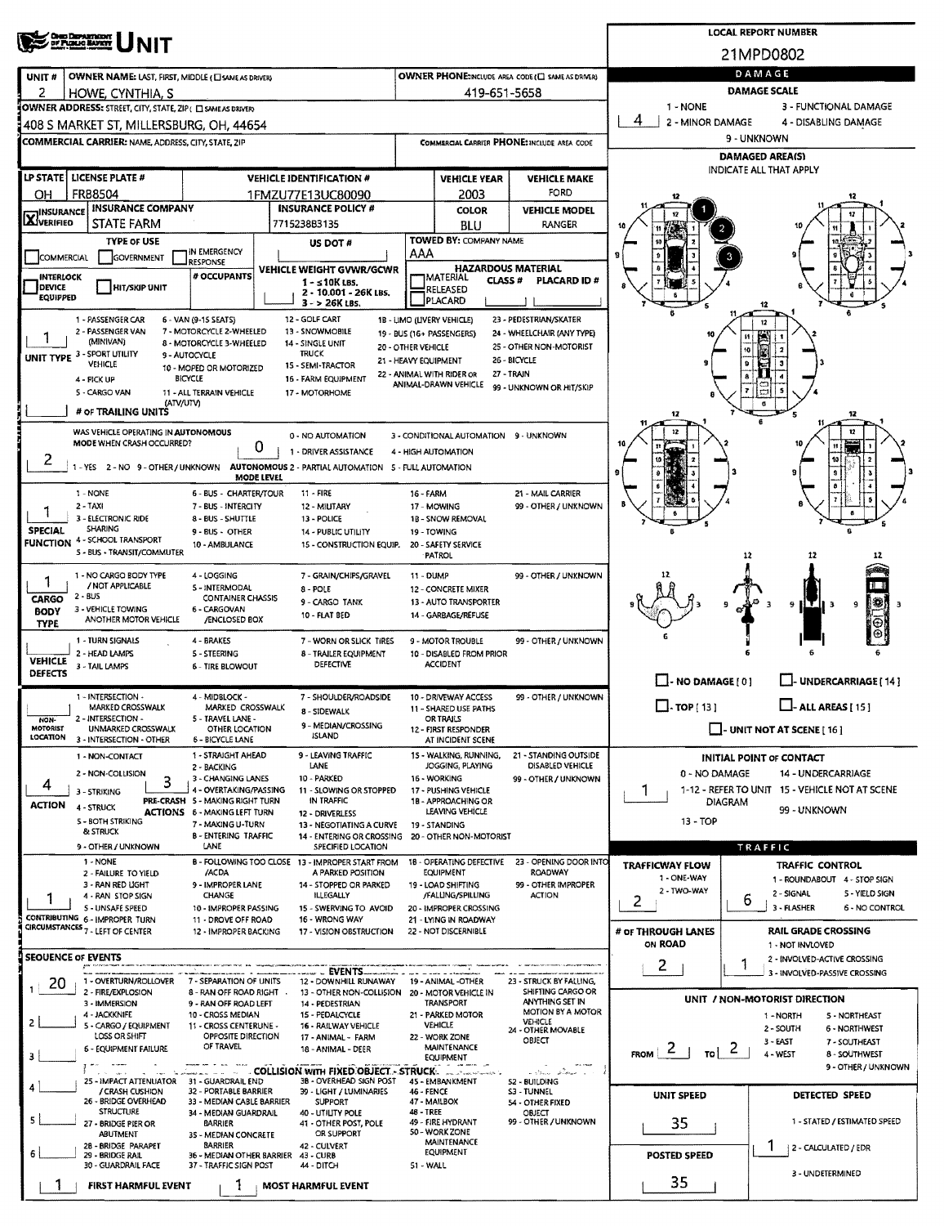|                                   | <b>Chec Department</b><br>DF Public Market                                                    |                                                           | <b>LOCAL REPORT NUMBER</b>                                                                                                    |                                                                                    |                                                         |                                                      |                               |                                                                    |  |  |  |  |  |
|-----------------------------------|-----------------------------------------------------------------------------------------------|-----------------------------------------------------------|-------------------------------------------------------------------------------------------------------------------------------|------------------------------------------------------------------------------------|---------------------------------------------------------|------------------------------------------------------|-------------------------------|--------------------------------------------------------------------|--|--|--|--|--|
|                                   |                                                                                               |                                                           | 21MPD0802                                                                                                                     |                                                                                    |                                                         |                                                      |                               |                                                                    |  |  |  |  |  |
| UNIT#                             | <b>OWNER NAME: LAST, FIRST, MIDDLE (CI SAME AS DRIVER)</b>                                    |                                                           |                                                                                                                               |                                                                                    | OWNER PHONE: INCLUDE AREA CODE (E) SAME AS DRIVER)      | DAMAGE                                               |                               |                                                                    |  |  |  |  |  |
| 2                                 | HOWE, CYNTHIA, S                                                                              |                                                           |                                                                                                                               |                                                                                    | 419-651-5658                                            |                                                      |                               | <b>DAMAGE SCALE</b>                                                |  |  |  |  |  |
|                                   | OWNER ADDRESS: STREET, CITY, STATE, ZIP ( C SAME AS DRIVER)                                   |                                                           |                                                                                                                               | 1 - NONE<br>3 - FUNCTIONAL DAMAGE<br>4<br>2 - MINOR DAMAGE<br>4 - DISABLING DAMAGE |                                                         |                                                      |                               |                                                                    |  |  |  |  |  |
|                                   | 408 S MARKET ST, MILLERSBURG, OH, 44654                                                       |                                                           |                                                                                                                               |                                                                                    |                                                         |                                                      | 9 - UNKNOWN                   |                                                                    |  |  |  |  |  |
|                                   | <b>COMMERCIAL CARRIER: NAME, ADDRESS, CITY, STATE, ZIP</b>                                    |                                                           |                                                                                                                               |                                                                                    |                                                         | COMMERCIAL CARRIER PHONE: INCLUDE AREA CODE          |                               | <b>DAMAGED AREA(S)</b>                                             |  |  |  |  |  |
|                                   | LP STATE   LICENSE PLATE #                                                                    |                                                           | <b>VEHICLE IDENTIFICATION #</b>                                                                                               |                                                                                    |                                                         |                                                      | INDICATE ALL THAT APPLY       |                                                                    |  |  |  |  |  |
| OН                                | <b>FRB8504</b>                                                                                |                                                           | 1FMZU77E13UC80090                                                                                                             |                                                                                    | <b>VEHICLE YEAR</b><br>2003                             | <b>VEHICLE MAKE</b><br>FORD                          |                               |                                                                    |  |  |  |  |  |
| <b>HINSURANCE</b>                 | <b>INSURANCE COMPANY</b>                                                                      |                                                           | <b>INSURANCE POLICY #</b>                                                                                                     |                                                                                    | <b>COLOR</b>                                            | <b>VEHICLE MODEL</b>                                 |                               |                                                                    |  |  |  |  |  |
| <b>LAJVERIFIED</b>                | STATE FARM                                                                                    |                                                           | 7715238B3135                                                                                                                  |                                                                                    | BLU                                                     | <b>RANGER</b>                                        |                               |                                                                    |  |  |  |  |  |
|                                   | <b>TYPE OF USE</b>                                                                            | IN EMERGENCY                                              | US DOT #                                                                                                                      | AAA                                                                                | TOWED BY: COMPANY NAME                                  |                                                      |                               |                                                                    |  |  |  |  |  |
| <b>COMMERCIAL</b>                 | GOVERNMENT                                                                                    | <b>ARESPONSE</b>                                          | VEHICLE WEIGHT GVWR/GCWR                                                                                                      |                                                                                    |                                                         | <b>HAZARDOUS MATERIAL</b>                            |                               |                                                                    |  |  |  |  |  |
| <b>INTERLOCK</b><br><b>DEVICE</b> | <b>HIT/SKIP UNIT</b>                                                                          | # OCCUPANTS                                               | $1 - s10K$ LBS.<br>2 - 10.001 - 26K LBS.                                                                                      |                                                                                    | IMATERIAL<br><b>CLASS #</b><br>RELEASED                 | PLACARD ID#                                          |                               |                                                                    |  |  |  |  |  |
| <b>EQUIPPED</b>                   |                                                                                               |                                                           | $3 - 26K$ LBs.                                                                                                                |                                                                                    | PLACARD                                                 |                                                      |                               | 12                                                                 |  |  |  |  |  |
|                                   | 1 - PASSENGER CAR<br>2 - PASSENGER VAN                                                        | 6 - VAN (9-15 SEATS)<br>7 - MOTORCYCLE 2-WHEELED          | 12 - GOLF CART<br>13 - SNOWMOBILE                                                                                             |                                                                                    | 1B - LIMO (LIVERY VEHICLE)<br>19 - BUS (16+ PASSENGERS) | 23 - PEDESTRIAN/SKATER<br>24 - WHEELCHAIR (ANY TYPE) |                               | 12                                                                 |  |  |  |  |  |
|                                   | (MINIVAN)                                                                                     | 8 - MOTORCYCLE 3-WHEELED                                  | 14 - SINGLE UNIT<br>TRUCK                                                                                                     | 20 - OTHER VEHICLE                                                                 |                                                         | 25 - OTHER NON-MOTORIST                              |                               | 慘<br>$\mathbf{H}$<br>欄<br>10<br>12                                 |  |  |  |  |  |
|                                   | UNIT TYPE 3 - SPORT UTILITY<br>VEHICLE                                                        | 9 - AUTOCYCLE<br>10 - MOPED OR MOTORIZED                  | 15 - SEMI-TRACTOR                                                                                                             | 21 - HEAVY EQUIPMENT                                                               | 22 - ANIMAL WITH RIDER OR                               | 26 - BICYCLE<br>27 - TRAIN                           |                               | ះ                                                                  |  |  |  |  |  |
|                                   | 4 - PICK UP<br>5 - CARGO VAN                                                                  | <b>BICYCLE</b><br>11 - ALL TERRAIN VEHICLE                | 16 - FARM EQUIPMENT<br>17 - MOTORHOME                                                                                         | 99 - UNKNOWN OR HIT/SKIP                                                           |                                                         |                                                      |                               |                                                                    |  |  |  |  |  |
|                                   | (ATV/UTV)<br># OF TRAILING UNITS                                                              |                                                           |                                                                                                                               |                                                                                    |                                                         |                                                      |                               |                                                                    |  |  |  |  |  |
|                                   |                                                                                               |                                                           | 0 - NO AUTOMATION                                                                                                             |                                                                                    |                                                         |                                                      | 12                            |                                                                    |  |  |  |  |  |
|                                   | WAS VEHICLE OPERATING IN AUTONOMOUS<br>MODE WHEN CRASH OCCURRED?                              | 0                                                         | 3 - CONDITIONAL AUTOMATION 9 - UNKNOWN                                                                                        |                                                                                    |                                                         |                                                      |                               |                                                                    |  |  |  |  |  |
| 2                                 |                                                                                               |                                                           | 1 - DRIVER ASSISTANCE<br>1-YES 2-NO 9-OTHER/UNKNOWN AUTONOMOUS 2-PARTIAL AUTOMATION 5-FULL AUTOMATION                         |                                                                                    | 4 - HIGH AUTOMATION                                     |                                                      |                               |                                                                    |  |  |  |  |  |
|                                   |                                                                                               |                                                           | <b>MODE LEVEL</b>                                                                                                             |                                                                                    |                                                         |                                                      |                               |                                                                    |  |  |  |  |  |
|                                   | 1 - NONE<br>2 - TAXI                                                                          | 6 - BUS - CHARTER/TOUR<br>7 - BUS - INTERCITY             | $11 - FIRE$<br>12 - MILITARY                                                                                                  | 16 - FARM                                                                          | 17 - MOWING                                             | 21 - MAIL CARRIER<br>99 - OTHER / UNKNOWN            |                               |                                                                    |  |  |  |  |  |
| ٦                                 | 3 - ELECTRONIC RIDE<br>SHARING                                                                | 8 - BUS - SHUTTLE                                         | 13 - POLICE                                                                                                                   |                                                                                    | 1B - SNOW REMOVAL                                       |                                                      |                               |                                                                    |  |  |  |  |  |
| <b>SPECIAL</b><br><b>FUNCTION</b> | 4 - SCHOOL TRANSPORT                                                                          | 9 BUS - OTHER<br>10 - AMBULANCE                           | 14 - PUBLIC UTILITY<br>15 - CONSTRUCTION EQUIP.                                                                               |                                                                                    | 19 - TOWING<br>20 - SAFETY SERVICE                      |                                                      |                               |                                                                    |  |  |  |  |  |
|                                   | 5 - BUS - TRANSIT/COMMUTER                                                                    |                                                           |                                                                                                                               |                                                                                    | PATROL                                                  |                                                      |                               | 12                                                                 |  |  |  |  |  |
|                                   | 1 - NO CARGO BODY TYPE<br>/ NOT APPLICABLE                                                    | 4 - LOGGING<br>5 - INTERMODAL                             | 7 - GRAIN/CHIPS/GRAVEL                                                                                                        | 11 - DUMP                                                                          |                                                         | 99 - OTHER / UNKNOWN                                 |                               |                                                                    |  |  |  |  |  |
| CARGO                             | 8 - POLE<br>$2 - BUS$<br><b>CONTAINER CHASSIS</b><br>9 - CARGO TANK                           |                                                           |                                                                                                                               |                                                                                    | <b>12 - CONCRETE MIXER</b><br>13 - AUTO TRANSPORTER     |                                                      |                               | 13<br>9<br>9                                                       |  |  |  |  |  |
| <b>BODY</b><br><b>TYPE</b>        | 3 - VEHICLE TOWING<br>6 - CARGOVAN<br>10 - FLAT BED<br>ANOTHER MOTOR VEHICLE<br>/ENCLOSED BOX |                                                           |                                                                                                                               |                                                                                    | 14 - GARBAGE/REFUSE                                     |                                                      |                               |                                                                    |  |  |  |  |  |
|                                   | 1 - TURN SIGNALS<br>4 - BRAKES<br>7 - WORN OR SLICK TIRES                                     |                                                           |                                                                                                                               |                                                                                    | 9 - MOTOR TROUBLE                                       | 99 - OTHER / UNKNOWN                                 |                               |                                                                    |  |  |  |  |  |
| <b>VEHICLE</b>                    | 2 - HEAD LAMPS<br>3 - TAIL LAMPS                                                              | 5 - STEERING<br><b>6 - TIRE BLOWOUT</b>                   | 8 - TRAILER EQUIPMENT<br>DEFECTIVE                                                                                            |                                                                                    | 10 - DISABLED FROM PRIOR<br><b>ACCIDENT</b>             |                                                      |                               |                                                                    |  |  |  |  |  |
| <b>DEFECTS</b>                    |                                                                                               |                                                           |                                                                                                                               |                                                                                    |                                                         |                                                      | $\Box$ - NO DAMAGE [ 0 ]      | UNDERCARRIAGE [ 14 ]                                               |  |  |  |  |  |
|                                   | 1 - INTERSECTION -<br>MARKED CROSSWALK                                                        | MARKED CROSSWALK                                          | 7 - SHOULDER/ROADSIDE<br>10 - DRIVEWAY ACCESS<br>99 - OTHER / UNKNOWN<br>11 - SHARED USE PATHS                                |                                                                                    |                                                         |                                                      | $\Box$ - ALL AREAS [ 15 ]     |                                                                    |  |  |  |  |  |
| NON-<br><b>MOTORIST</b>           | 2 - INTERSECTION -<br>UNMARKED CROSSWALK                                                      | 5 - TRAVEL LANE -<br>OTHER LOCATION                       |                                                                                                                               | 8 - SIDEWALK<br>OR TRAILS<br>9 - MEDIAN/CROSSING<br>12 - FIRST RESPONDER           |                                                         |                                                      | $\Box$ -TOP(13)               | - UNIT NOT AT SCENE [ 16 ]                                         |  |  |  |  |  |
| LOCATION                          | 3 - INTERSECTION - OTHER                                                                      | 6 - BICYCLE LANE                                          | <b>ISLAND</b>                                                                                                                 |                                                                                    | AT INCIDENT SCENE                                       |                                                      |                               |                                                                    |  |  |  |  |  |
|                                   | 1 - NON-CONTACT                                                                               | 1 - STRAIGHT AHEAD<br>2 - BACKING                         | 9 - LEAVING TRAFFIC<br>LANE                                                                                                   |                                                                                    | 15 - WALKING, RUNNING,<br>JOGGING, PLAYING              | 21 - STANDING OUTSIDE<br>DISABLED VEHICLE            |                               | INITIAL POINT OF CONTACT                                           |  |  |  |  |  |
| 4                                 | 2 - NON-COLLISION<br>3                                                                        | 3 - CHANGING LANES                                        | 10 - PARKED                                                                                                                   |                                                                                    | 16 - WORKING                                            | 99 - OTHER / UNKNOWN                                 | 0 - NO DAMAGE                 | <b>14 - UNDERCARRIAGE</b>                                          |  |  |  |  |  |
| <b>ACTION</b>                     | 3 - 5TRIKING<br>4 - STRUCK                                                                    | 4 - OVERTAKING/PASSING<br>PRE-CRASH 5 - MAKING RIGHT TURN | 11 - SLOWING OR STOPPED<br>IN TRAFFIC                                                                                         |                                                                                    | 17 - PUSHING VEHICLE<br>18 - APPROACHING OR             |                                                      | 1                             | 1-12 - REFER TO UNIT 15 - VEHICLE NOT AT SCENE<br><b>DIAGRAM</b>   |  |  |  |  |  |
|                                   | 5 - BOTH STRIKING                                                                             | <b>ACTIONS 6 - MAKING LEFT TURN</b><br>7 - MAKING U-TURN  | 12 - DRIVERLESS<br>13 - NEGOTIATING A CURVE                                                                                   |                                                                                    | LEAVING VEHICLE<br>19 - STANDING                        |                                                      | 99 - UNKNOWN<br>13 - TOP      |                                                                    |  |  |  |  |  |
|                                   | & STRUCK<br>9 - OTHER / UNKNOWN                                                               | <b>B - ENTERING TRAFFIC</b><br>LANE                       | 14 - ENTERING OR CROSSING<br>SPECIFIED LOCATION                                                                               |                                                                                    | 20 - OTHER NON-MOTORIST                                 |                                                      |                               | TRAFFIC                                                            |  |  |  |  |  |
|                                   | 1 - NONE                                                                                      |                                                           | B - FOLLOWING TOO CLOSE 13 - IMPROPER START FROM                                                                              |                                                                                    | 18 - OPERATING DEFECTIVE                                | 23 - OPENING DOOR INTO                               | <b>TRAFFICWAY FLOW</b>        | <b>TRAFFIC CONTROL</b>                                             |  |  |  |  |  |
|                                   | 2 - FAILURE TO YIELD<br>3 - RAN RED LIGHT                                                     | /ACDA<br>9 - IMPROPER LANE                                | A PARKED POSITION<br>14 - STOPPED OR PARKED                                                                                   |                                                                                    | EQUIPMENT<br>19 - LOAD SHIFTING                         | ROADWAY<br>99 - OTHER IMPROPER                       | 1 - ONE-WAY                   | 1 - ROUNDABOUT 4 - STOP SIGN                                       |  |  |  |  |  |
|                                   | 4 - RAN STOP SIGN                                                                             | <b>CHANGE</b><br>10 - IMPROPER PASSING                    | <b>ILLEGALLY</b><br>15 - SWERVING TO AVOID                                                                                    |                                                                                    | /FALLING/SPILLING<br><b>ACTION</b>                      |                                                      | 2 - TWO-WAY<br>2              | 2 - SIGNAL<br>5 - YIELD SIGN<br>ь<br>3 - FLASHER<br>6 - NO CONTROL |  |  |  |  |  |
|                                   | S - UNSAFE SPEED<br>CONTRIBUTING 6-IMPROPER TURN                                              | 11 - DROVE OFF ROAD                                       | 16 - WRONG WAY                                                                                                                |                                                                                    | 20 - IMPROPER CROSSING<br>21 - LYING IN ROADWAY         |                                                      |                               |                                                                    |  |  |  |  |  |
|                                   | CIRCUMSTANCES <sub>7</sub> - LEFT OF CENTER                                                   | 12 - IMPROPER BACKING                                     | 17 - VISION OBSTRUCTION                                                                                                       |                                                                                    | 22 - NOT DISCERNIBLE                                    |                                                      | # OF THROUGH LANES<br>ON ROAD | <b>RAIL GRADE CROSSING</b><br>1 - NOT INVLOVED                     |  |  |  |  |  |
|                                   | <b>SEQUENCE OF EVENTS</b>                                                                     |                                                           |                                                                                                                               |                                                                                    |                                                         |                                                      | 2                             | 2 - INVOLVED-ACTIVE CROSSING<br>1                                  |  |  |  |  |  |
| 20                                | 1 - OVERTURN/ROLLOVER                                                                         | 7 - SEPARATION OF UNITS                                   | EVENTS.<br>12 - DOWNHILL RUNAWAY                                                                                              |                                                                                    | 19 - ANIMAL -OTHER                                      | 23 - STRUCK BY FALLING,                              |                               | 3 - INVOLVED-PASSIVE CROSSING                                      |  |  |  |  |  |
|                                   | 2 - FIRE/EXPLOSION<br>3 - IMMERSION                                                           | 8 - RAN OFF ROAD RIGHT<br>9 - RAN OFF ROAD LEFT           | 13 - OTHER NON-COLLISION<br>14 - PEDESTRIAN                                                                                   |                                                                                    | 20 - MOTOR VEHICLE IN<br>TRANSPORT                      | SHIFTING CARGO OR<br>ANYTHING SET IN                 |                               | UNIT / NON-MOTORIST DIRECTION                                      |  |  |  |  |  |
|                                   | 4 - JACKKNIFE<br>5 - CARGO / EQUIPMENT                                                        | 10 - CROSS MEDIAN<br>11 - CROSS CENTERUNE -               | 15 - PEDALCYCLE<br>16 - RAILWAY VEHICLE                                                                                       |                                                                                    | 21 - PARKED MOTOR<br><b>VEHICLE</b>                     | MOTION BY A MOTOR<br>VEHICLE                         |                               | 1 - NORTH<br><b>5 - NORTHEAST</b>                                  |  |  |  |  |  |
|                                   | LOSS OR SHIFT                                                                                 | OPPOSITE DIRECTION<br>OF TRAVEL                           | 17 - ANIMAL - FARM                                                                                                            |                                                                                    | 22 - WORK ZONE<br>MAINTENANCE                           | 24 - OTHER MOVABLE<br>OBJECT                         |                               | 2 - SOUTH<br><b>6 - NORTHWEST</b><br>$3 - EAST$<br>7 - SOUTHEAST   |  |  |  |  |  |
| з                                 | 6 - EQUIPMENT FAILURE                                                                         |                                                           | 18 - ANIMAL - DEER                                                                                                            |                                                                                    | EQUIPMENT                                               | <b>MA PMP</b>                                        | ∠<br><b>FROM</b><br>TO        | ۷<br>4 - WEST<br>8 - SOUTHWEST<br>9 - OTHER / UNKNOWN              |  |  |  |  |  |
|                                   | <b>Contract</b><br>25 - IMPACT ATTENUATOR                                                     | 31 - GUARDRAIL END                                        | <b>COLLISION WITH FIXED OBJECT - STRUCK And A COLLISION WITH FIXED OBJECT - STRUCK A COLLISION</b><br>3B - OVERHEAD SIGN POST |                                                                                    | 45 - EMBANKMENT                                         | a strane diference a<br>52 - BUILDING                |                               |                                                                    |  |  |  |  |  |
|                                   | / CRASH CUSHION<br>26 - BRIDGE OVERHEAD                                                       | 32 - PORTABLE BARRIER<br>33 - MEDIAN CABLE BARRIER        | 39 - LIGHT / LUMINARIES<br>SUPPORT                                                                                            | 46 - FENCE                                                                         | 47 - MAILBOX                                            | S3 - TUNNEL<br>54 - OTHER FIXED                      | UNIT SPEED                    | DETECTED SPEED                                                     |  |  |  |  |  |
|                                   | <b>STRUCTURE</b><br>27 - BRIDGE PIER OR                                                       | 34 - MEDIAN GUARDRAIL<br>BARRIER                          | 40 - UTILITY POLE<br>41 - OTHER POST, POLE                                                                                    | 48 - TREE                                                                          | 49 - FIRE HYDRANT                                       | OBJECT<br>99 - OTHER / UNKNOWN                       | 35                            | 1 - STATED / ESTIMATED SPEED                                       |  |  |  |  |  |
|                                   | <b>ABUTMENT</b><br>2B - BRIDGE PARAPET                                                        | 35 - MEDIAN CONCRETE<br><b>BARRIER</b>                    | OR SUPPORT<br>42 - CULVERT                                                                                                    |                                                                                    | 50 - WORK ZONE<br>MAINTENANCE                           |                                                      |                               |                                                                    |  |  |  |  |  |
| 6                                 | 29 - BRIDGE RAIL<br>30 - GUARDRAIL FACE                                                       | 36 - MEDIAN OTHER BARRIER<br>37 - TRAFFIC SIGN POST       | 43 - CURB<br>44 - DITCH                                                                                                       | 51 - WALL                                                                          | EQUIPMENT                                               |                                                      | <b>POSTED SPEED</b>           | 2 - CALCULATED / EDR                                               |  |  |  |  |  |
|                                   | FIRST HARMFUL EVENT                                                                           | Ŧ                                                         | <b>MOST HARMFUL EVENT</b>                                                                                                     |                                                                                    |                                                         |                                                      | 35                            | 3 - UNDETERMINED                                                   |  |  |  |  |  |
|                                   |                                                                                               |                                                           |                                                                                                                               |                                                                                    |                                                         |                                                      |                               |                                                                    |  |  |  |  |  |